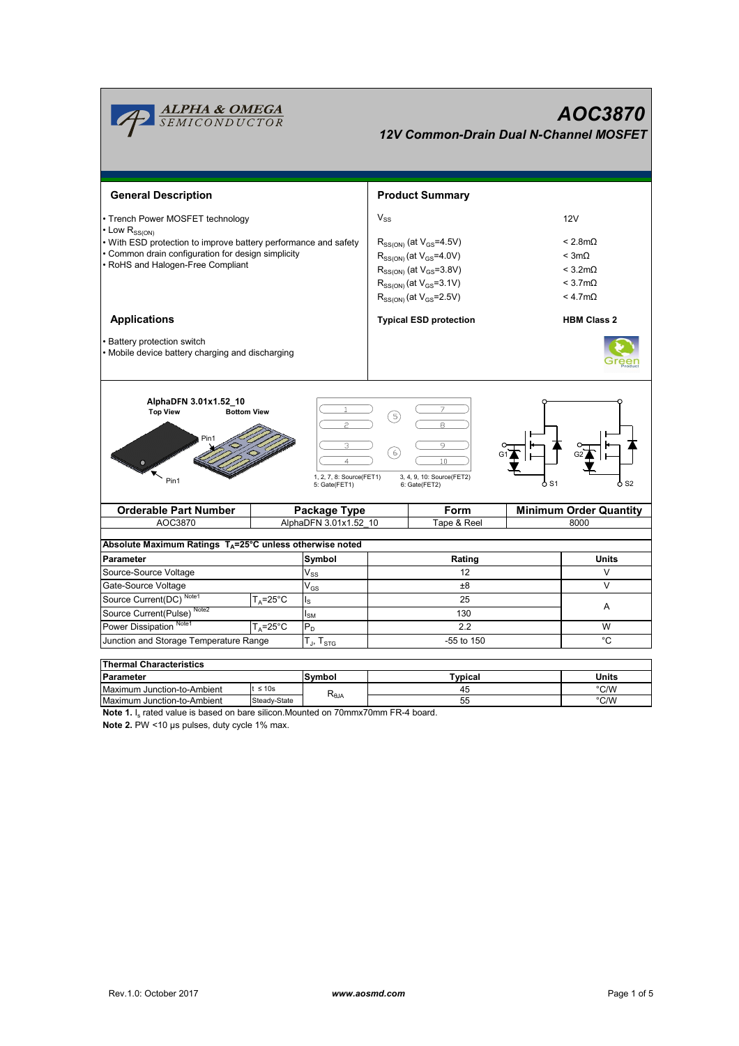

55

Steady-State

**Note 1.** I<sub>s</sub> rated value is based on bare silicon.Mounted on 70mmx70mm FR-4 board.

**Note 2.** PW <10 µs pulses, duty cycle 1% max.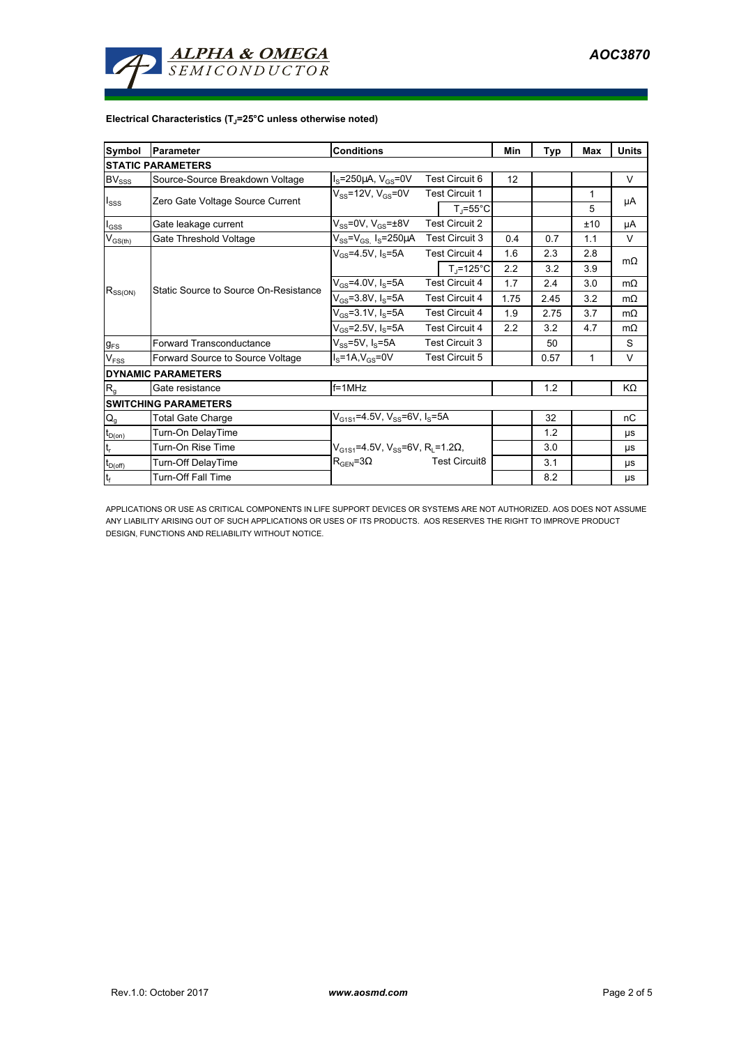

## **Electrical Characteristics (TJ=25°C unless otherwise noted)**

| Symbol                          | <b>IParameter</b>                     | <b>Conditions</b>                                            |                       |                                | Min  | Typ  | Max | <b>Units</b> |
|---------------------------------|---------------------------------------|--------------------------------------------------------------|-----------------------|--------------------------------|------|------|-----|--------------|
| <b>STATIC PARAMETERS</b>        |                                       |                                                              |                       |                                |      |      |     |              |
| $\mathsf{BV}_{\mathsf{SSS}}$    | Source-Source Breakdown Voltage       | $I_S = 250 \mu A$ , $V_{GS} = 0V$                            | <b>Test Circuit 6</b> |                                | 12   |      |     | V            |
| <b>I</b> sss                    | Zero Gate Voltage Source Current      | $V_{SS}$ =12V, $V_{GS}$ =0V                                  |                       | <b>Test Circuit 1</b>          |      |      | 1   |              |
|                                 |                                       |                                                              |                       | $T_{\parallel} = 55^{\circ}$ C |      |      | 5   | μA           |
| $I_{GSS}$                       | Gate leakage current                  | $V_{SS}$ =0V, $V_{GS}$ = $\pm$ 8V                            |                       | <b>Test Circuit 2</b>          |      |      | ±10 | μA           |
| $V_{\text{GS}(\underline{th})}$ | Gate Threshold Voltage                | $V_{SS} = V_{GS}$ I <sub>S</sub> =250µA                      | Test Circuit 3        |                                | 0.4  | 0.7  | 1.1 | V            |
| $R_{SS(ON)}$                    | Static Source to Source On-Resistance | $V_{GS} = 4.5V, I_S = 5A$                                    |                       | <b>Test Circuit 4</b>          | 1.6  | 2.3  | 2.8 | $m\Omega$    |
|                                 |                                       |                                                              |                       | $T_i = 125^{\circ}C$           | 2.2  | 3.2  | 3.9 |              |
|                                 |                                       | $V_{GS} = 4.0 V, I_S = 5A$                                   | <b>Test Circuit 4</b> |                                | 1.7  | 2.4  | 3.0 | $m\Omega$    |
|                                 |                                       | $V_{GS} = 3.8 V, I_S = 5A$                                   | <b>Test Circuit 4</b> |                                | 1.75 | 2.45 | 3.2 | $m\Omega$    |
|                                 |                                       | $V_{GS} = 3.1 V, I_S = 5A$                                   | <b>Test Circuit 4</b> |                                | 1.9  | 2.75 | 3.7 | $m\Omega$    |
|                                 |                                       | $V_{GS}$ =2.5V, Is=5A                                        | <b>Test Circuit 4</b> |                                | 2.2  | 3.2  | 4.7 | $m\Omega$    |
| $g_{FS}$                        | Forward Transconductance              | $V_{ss}$ =5V, $I_s$ =5A                                      | <b>Test Circuit 3</b> |                                |      | 50   |     | S            |
| V <sub>FSS</sub>                | Forward Source to Source Voltage      | $IS=1A, VGS=0V$                                              | <b>Test Circuit 5</b> |                                |      | 0.57 | 1   | $\vee$       |
| <b>DYNAMIC PARAMETERS</b>       |                                       |                                                              |                       |                                |      |      |     |              |
| $R_{q}$                         | Gate resistance                       | $f = 1$ MHz                                                  |                       |                                |      | 1.2  |     | KΩ           |
| <b>SWITCHING PARAMETERS</b>     |                                       |                                                              |                       |                                |      |      |     |              |
| $\mathsf{Q}_{\mathsf{g}}$       | <b>Total Gate Charge</b>              | $V_{G1S1} = 4.5V$ , $V_{SS} = 6V$ , $I_S = 5A$               |                       |                                | 32   |      | nC  |              |
| $t_{D(0n)}$                     | Turn-On DelayTime                     |                                                              |                       |                                |      | 1.2  |     | μs           |
| $t_{r}$                         | Turn-On Rise Time                     | $V_{G1S1}$ =4.5V, V <sub>SS</sub> =6V, R <sub>i</sub> =1.2Ω, |                       |                                |      | 3.0  |     | μs           |
| $t_{\text{D}(\text{off})}$      | Turn-Off DelayTime                    | $R_{\text{GEN}} = 3\Omega$                                   |                       | <b>Test Circuit8</b>           |      | 3.1  |     | μs           |
| $\mathsf{t}_{\mathsf{f}}$       | <b>Turn-Off Fall Time</b>             |                                                              |                       |                                |      | 8.2  |     | μs           |

APPLICATIONS OR USE AS CRITICAL COMPONENTS IN LIFE SUPPORT DEVICES OR SYSTEMS ARE NOT AUTHORIZED. AOS DOES NOT ASSUME ANY LIABILITY ARISING OUT OF SUCH APPLICATIONS OR USES OF ITS PRODUCTS. AOS RESERVES THE RIGHT TO IMPROVE PRODUCT DESIGN, FUNCTIONS AND RELIABILITY WITHOUT NOTICE.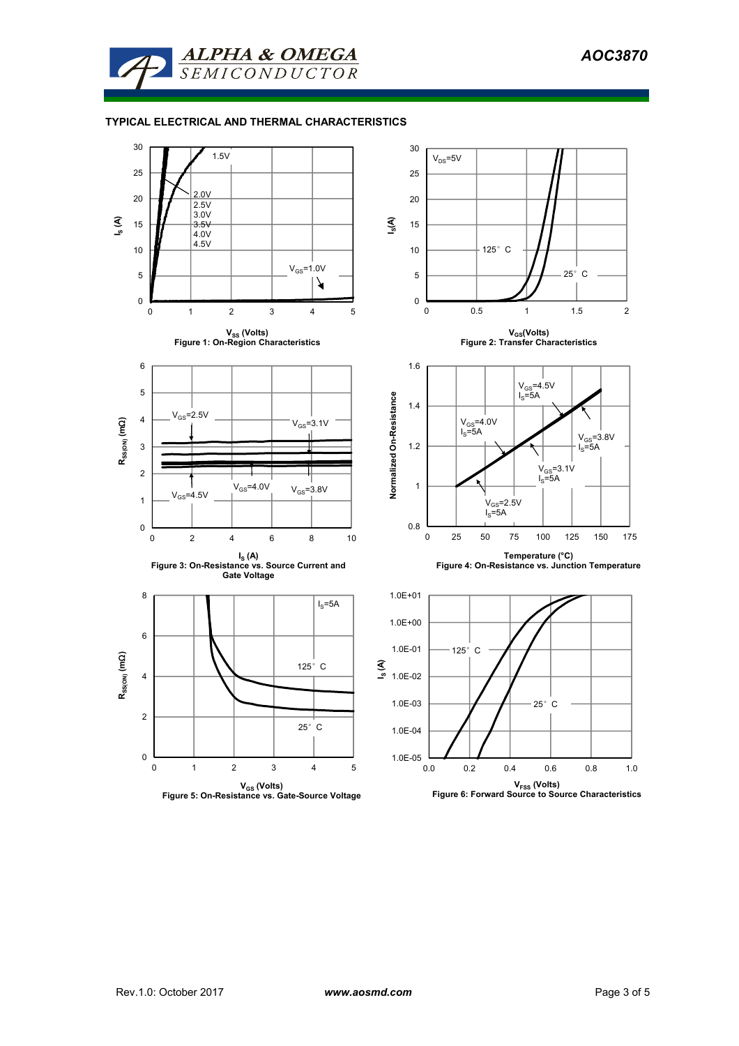

## **TYPICAL ELECTRICAL AND THERMAL CHARACTERISTICS**

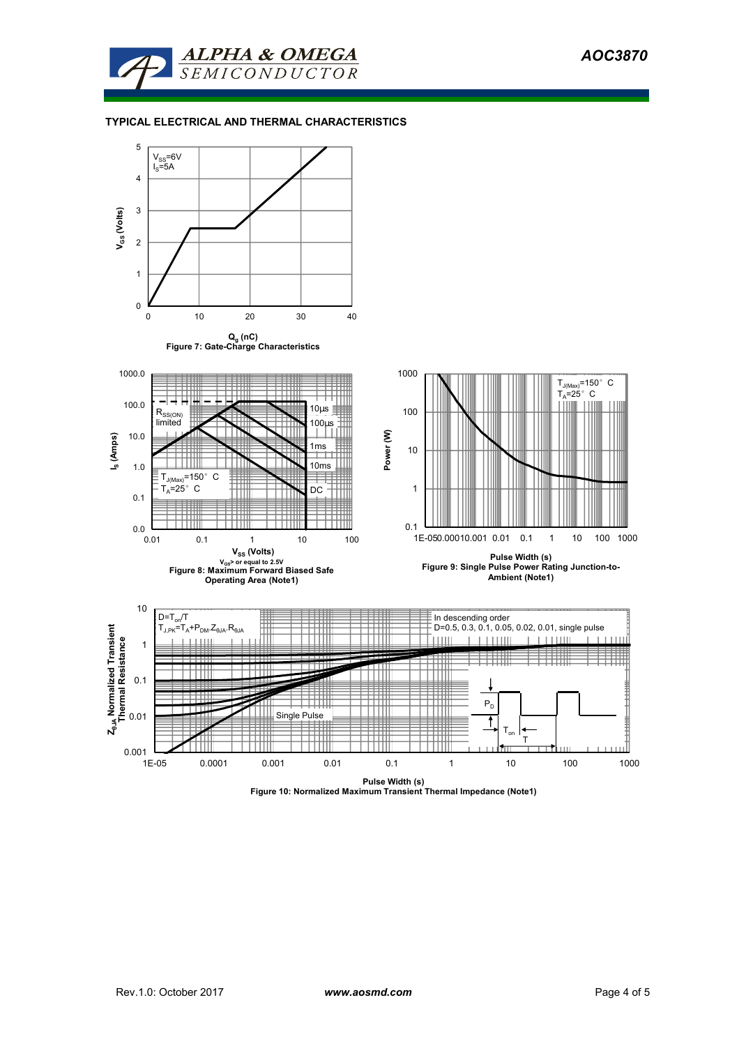

## **TYPICAL ELECTRICAL AND THERMAL CHARACTERISTICS**